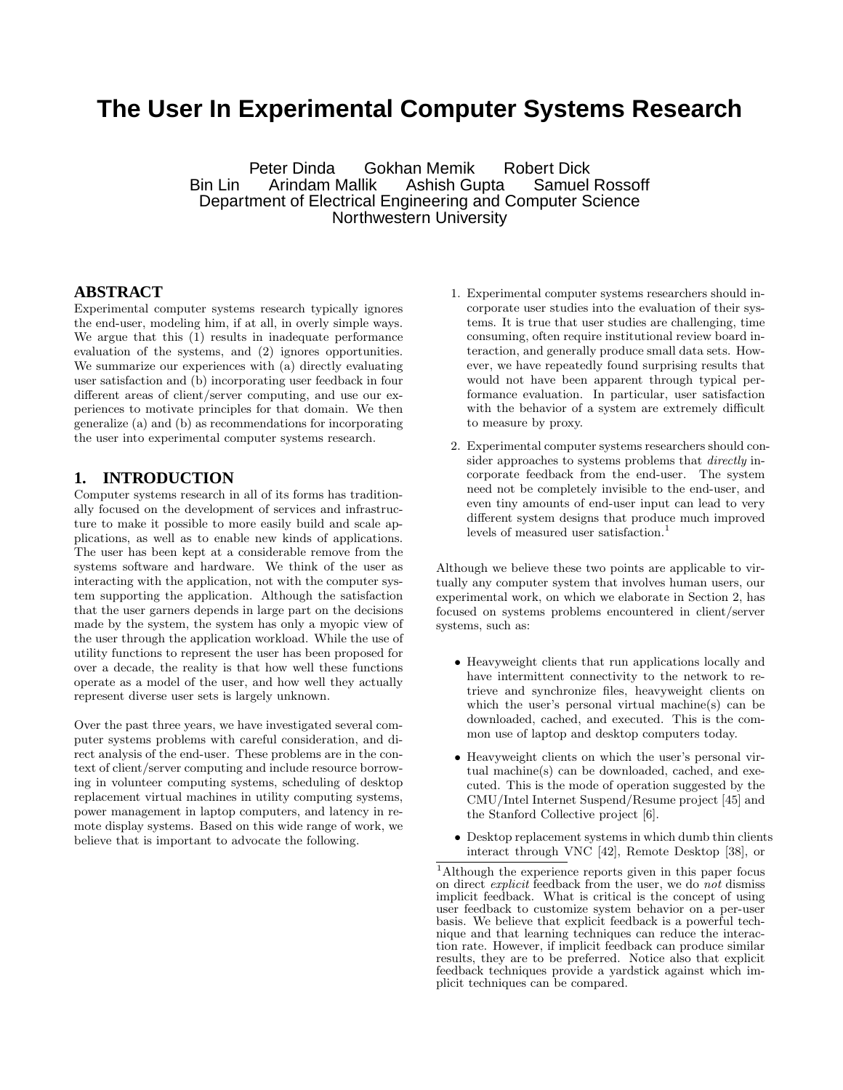# **The User In Experimental Computer Systems Research**

Peter Dinda Gokhan Memik Robert Dick Bin Lin Arindam Mallik Ashish Gupta Samuel Rossoff Department of Electrical Engineering and Computer Science Northwestern University

## **ABSTRACT**

Experimental computer systems research typically ignores the end-user, modeling him, if at all, in overly simple ways. We argue that this (1) results in inadequate performance evaluation of the systems, and (2) ignores opportunities. We summarize our experiences with (a) directly evaluating user satisfaction and (b) incorporating user feedback in four different areas of client/server computing, and use our experiences to motivate principles for that domain. We then generalize (a) and (b) as recommendations for incorporating the user into experimental computer systems research.

#### **1. INTRODUCTION**

Computer systems research in all of its forms has traditionally focused on the development of services and infrastructure to make it possible to more easily build and scale applications, as well as to enable new kinds of applications. The user has been kept at a considerable remove from the systems software and hardware. We think of the user as interacting with the application, not with the computer system supporting the application. Although the satisfaction that the user garners depends in large part on the decisions made by the system, the system has only a myopic view of the user through the application workload. While the use of utility functions to represent the user has been proposed for over a decade, the reality is that how well these functions operate as a model of the user, and how well they actually represent diverse user sets is largely unknown.

Over the past three years, we have investigated several computer systems problems with careful consideration, and direct analysis of the end-user. These problems are in the context of client/server computing and include resource borrowing in volunteer computing systems, scheduling of desktop replacement virtual machines in utility computing systems, power management in laptop computers, and latency in remote display systems. Based on this wide range of work, we believe that is important to advocate the following.

- 1. Experimental computer systems researchers should incorporate user studies into the evaluation of their systems. It is true that user studies are challenging, time consuming, often require institutional review board interaction, and generally produce small data sets. However, we have repeatedly found surprising results that would not have been apparent through typical performance evaluation. In particular, user satisfaction with the behavior of a system are extremely difficult to measure by proxy.
- 2. Experimental computer systems researchers should consider approaches to systems problems that *directly* incorporate feedback from the end-user. The system need not be completely invisible to the end-user, and even tiny amounts of end-user input can lead to very different system designs that produce much improved levels of measured user satisfaction.<sup>1</sup>

Although we believe these two points are applicable to virtually any computer system that involves human users, our experimental work, on which we elaborate in Section 2, has focused on systems problems encountered in client/server systems, such as:

- Heavyweight clients that run applications locally and have intermittent connectivity to the network to retrieve and synchronize files, heavyweight clients on which the user's personal virtual machine(s) can be downloaded, cached, and executed. This is the common use of laptop and desktop computers today.
- Heavyweight clients on which the user's personal virtual machine(s) can be downloaded, cached, and executed. This is the mode of operation suggested by the CMU/Intel Internet Suspend/Resume project [45] and the Stanford Collective project [6].
- Desktop replacement systems in which dumb thin clients interact through VNC [42], Remote Desktop [38], or

<sup>1</sup>Although the experience reports given in this paper focus on direct *explicit* feedback from the user, we do *not* dismiss implicit feedback. What is critical is the concept of using user feedback to customize system behavior on a per-user basis. We believe that explicit feedback is a powerful technique and that learning techniques can reduce the interaction rate. However, if implicit feedback can produce similar results, they are to be preferred. Notice also that explicit feedback techniques provide a yardstick against which implicit techniques can be compared.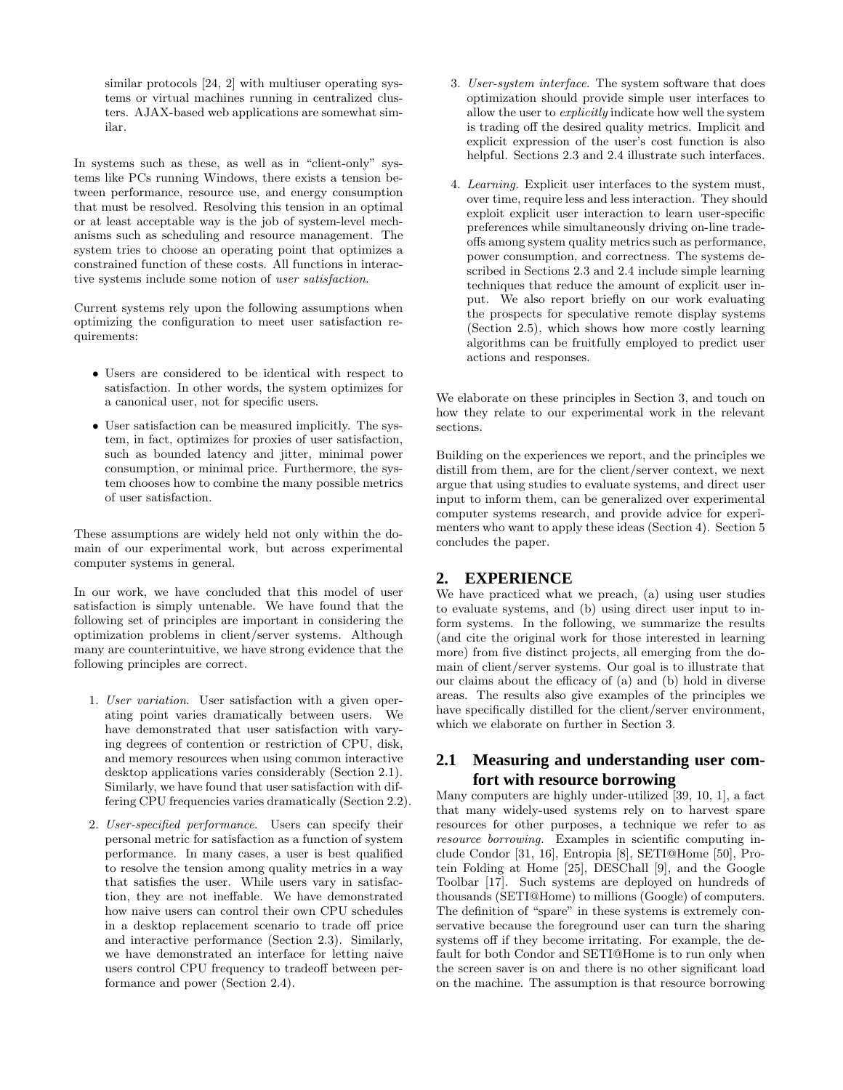similar protocols [24, 2] with multiuser operating systems or virtual machines running in centralized clusters. AJAX-based web applications are somewhat similar.

In systems such as these, as well as in "client-only" systems like PCs running Windows, there exists a tension between performance, resource use, and energy consumption that must be resolved. Resolving this tension in an optimal or at least acceptable way is the job of system-level mechanisms such as scheduling and resource management. The system tries to choose an operating point that optimizes a constrained function of these costs. All functions in interactive systems include some notion of *user satisfaction*.

Current systems rely upon the following assumptions when optimizing the configuration to meet user satisfaction requirements:

- Users are considered to be identical with respect to satisfaction. In other words, the system optimizes for a canonical user, not for specific users.
- User satisfaction can be measured implicitly. The system, in fact, optimizes for proxies of user satisfaction, such as bounded latency and jitter, minimal power consumption, or minimal price. Furthermore, the system chooses how to combine the many possible metrics of user satisfaction.

These assumptions are widely held not only within the domain of our experimental work, but across experimental computer systems in general.

In our work, we have concluded that this model of user satisfaction is simply untenable. We have found that the following set of principles are important in considering the optimization problems in client/server systems. Although many are counterintuitive, we have strong evidence that the following principles are correct.

- 1. *User variation*. User satisfaction with a given operating point varies dramatically between users. We have demonstrated that user satisfaction with varying degrees of contention or restriction of CPU, disk, and memory resources when using common interactive desktop applications varies considerably (Section 2.1). Similarly, we have found that user satisfaction with differing CPU frequencies varies dramatically (Section 2.2).
- 2. *User-specified performance*. Users can specify their personal metric for satisfaction as a function of system performance. In many cases, a user is best qualified to resolve the tension among quality metrics in a way that satisfies the user. While users vary in satisfaction, they are not ineffable. We have demonstrated how naive users can control their own CPU schedules in a desktop replacement scenario to trade off price and interactive performance (Section 2.3). Similarly, we have demonstrated an interface for letting naive users control CPU frequency to tradeoff between performance and power (Section 2.4).
- 3. *User-system interface*. The system software that does optimization should provide simple user interfaces to allow the user to *explicitly* indicate how well the system is trading off the desired quality metrics. Implicit and explicit expression of the user's cost function is also helpful. Sections 2.3 and 2.4 illustrate such interfaces.
- 4. *Learning.* Explicit user interfaces to the system must, over time, require less and less interaction. They should exploit explicit user interaction to learn user-specific preferences while simultaneously driving on-line tradeoffs among system quality metrics such as performance, power consumption, and correctness. The systems described in Sections 2.3 and 2.4 include simple learning techniques that reduce the amount of explicit user input. We also report briefly on our work evaluating the prospects for speculative remote display systems (Section 2.5), which shows how more costly learning algorithms can be fruitfully employed to predict user actions and responses.

We elaborate on these principles in Section 3, and touch on how they relate to our experimental work in the relevant sections.

Building on the experiences we report, and the principles we distill from them, are for the client/server context, we next argue that using studies to evaluate systems, and direct user input to inform them, can be generalized over experimental computer systems research, and provide advice for experimenters who want to apply these ideas (Section 4). Section 5 concludes the paper.

# **2. EXPERIENCE**

We have practiced what we preach, (a) using user studies to evaluate systems, and (b) using direct user input to inform systems. In the following, we summarize the results (and cite the original work for those interested in learning more) from five distinct projects, all emerging from the domain of client/server systems. Our goal is to illustrate that our claims about the efficacy of (a) and (b) hold in diverse areas. The results also give examples of the principles we have specifically distilled for the client/server environment, which we elaborate on further in Section 3.

# **2.1 Measuring and understanding user comfort with resource borrowing**

Many computers are highly under-utilized [39, 10, 1], a fact that many widely-used systems rely on to harvest spare resources for other purposes, a technique we refer to as *resource borrowing.* Examples in scientific computing include Condor [31, 16], Entropia [8], SETI@Home [50], Protein Folding at Home [25], DESChall [9], and the Google Toolbar [17]. Such systems are deployed on hundreds of thousands (SETI@Home) to millions (Google) of computers. The definition of "spare" in these systems is extremely conservative because the foreground user can turn the sharing systems off if they become irritating. For example, the default for both Condor and SETI@Home is to run only when the screen saver is on and there is no other significant load on the machine. The assumption is that resource borrowing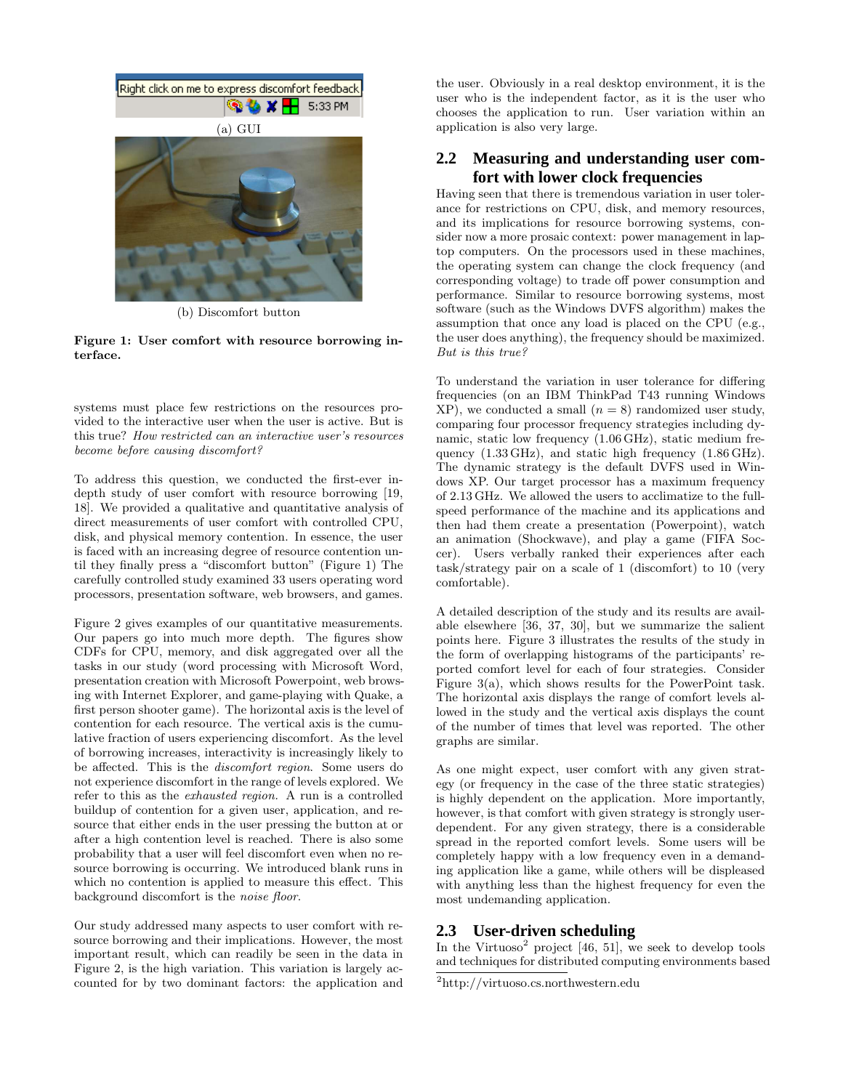

(b) Discomfort button

Figure 1: User comfort with resource borrowing interface.

systems must place few restrictions on the resources provided to the interactive user when the user is active. But is this true? *How restricted can an interactive user's resources become before causing discomfort?*

To address this question, we conducted the first-ever indepth study of user comfort with resource borrowing [19, 18]. We provided a qualitative and quantitative analysis of direct measurements of user comfort with controlled CPU, disk, and physical memory contention. In essence, the user is faced with an increasing degree of resource contention until they finally press a "discomfort button" (Figure 1) The carefully controlled study examined 33 users operating word processors, presentation software, web browsers, and games.

Figure 2 gives examples of our quantitative measurements. Our papers go into much more depth. The figures show CDFs for CPU, memory, and disk aggregated over all the tasks in our study (word processing with Microsoft Word, presentation creation with Microsoft Powerpoint, web browsing with Internet Explorer, and game-playing with Quake, a first person shooter game). The horizontal axis is the level of contention for each resource. The vertical axis is the cumulative fraction of users experiencing discomfort. As the level of borrowing increases, interactivity is increasingly likely to be affected. This is the *discomfort region*. Some users do not experience discomfort in the range of levels explored. We refer to this as the *exhausted region.* A run is a controlled buildup of contention for a given user, application, and resource that either ends in the user pressing the button at or after a high contention level is reached. There is also some probability that a user will feel discomfort even when no resource borrowing is occurring. We introduced blank runs in which no contention is applied to measure this effect. This background discomfort is the *noise floor*.

Our study addressed many aspects to user comfort with resource borrowing and their implications. However, the most important result, which can readily be seen in the data in Figure 2, is the high variation. This variation is largely accounted for by two dominant factors: the application and the user. Obviously in a real desktop environment, it is the user who is the independent factor, as it is the user who chooses the application to run. User variation within an application is also very large.

## **2.2 Measuring and understanding user comfort with lower clock frequencies**

Having seen that there is tremendous variation in user tolerance for restrictions on CPU, disk, and memory resources, and its implications for resource borrowing systems, consider now a more prosaic context: power management in laptop computers. On the processors used in these machines, the operating system can change the clock frequency (and corresponding voltage) to trade off power consumption and performance. Similar to resource borrowing systems, most software (such as the Windows DVFS algorithm) makes the assumption that once any load is placed on the CPU (e.g., the user does anything), the frequency should be maximized. *But is this true?*

To understand the variation in user tolerance for differing frequencies (on an IBM ThinkPad T43 running Windows  $XP$ ), we conducted a small  $(n = 8)$  randomized user study, comparing four processor frequency strategies including dynamic, static low frequency (1.06 GHz), static medium frequency (1.33 GHz), and static high frequency (1.86 GHz). The dynamic strategy is the default DVFS used in Windows XP. Our target processor has a maximum frequency of 2.13 GHz. We allowed the users to acclimatize to the fullspeed performance of the machine and its applications and then had them create a presentation (Powerpoint), watch an animation (Shockwave), and play a game (FIFA Soccer). Users verbally ranked their experiences after each task/strategy pair on a scale of 1 (discomfort) to 10 (very comfortable).

A detailed description of the study and its results are available elsewhere [36, 37, 30], but we summarize the salient points here. Figure 3 illustrates the results of the study in the form of overlapping histograms of the participants' reported comfort level for each of four strategies. Consider Figure 3(a), which shows results for the PowerPoint task. The horizontal axis displays the range of comfort levels allowed in the study and the vertical axis displays the count of the number of times that level was reported. The other graphs are similar.

As one might expect, user comfort with any given strategy (or frequency in the case of the three static strategies) is highly dependent on the application. More importantly, however, is that comfort with given strategy is strongly userdependent. For any given strategy, there is a considerable spread in the reported comfort levels. Some users will be completely happy with a low frequency even in a demanding application like a game, while others will be displeased with anything less than the highest frequency for even the most undemanding application.

# **2.3 User-driven scheduling**

In the Virtuoso<sup>2</sup> project [46, 51], we seek to develop tools and techniques for distributed computing environments based

<sup>2</sup>http://virtuoso.cs.northwestern.edu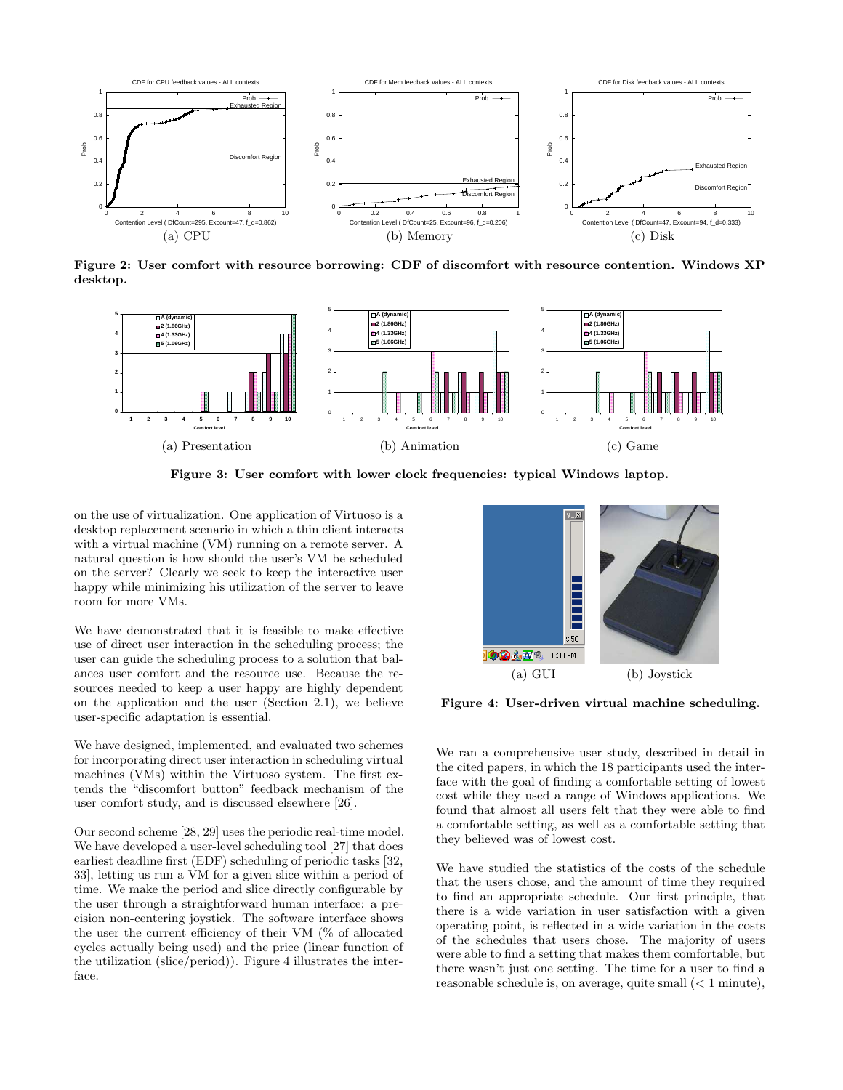

Figure 2: User comfort with resource borrowing: CDF of discomfort with resource contention. Windows XP desktop.



Figure 3: User comfort with lower clock frequencies: typical Windows laptop.

on the use of virtualization. One application of Virtuoso is a desktop replacement scenario in which a thin client interacts with a virtual machine (VM) running on a remote server. A natural question is how should the user's VM be scheduled on the server? Clearly we seek to keep the interactive user happy while minimizing his utilization of the server to leave room for more VMs.

We have demonstrated that it is feasible to make effective use of direct user interaction in the scheduling process; the user can guide the scheduling process to a solution that balances user comfort and the resource use. Because the resources needed to keep a user happy are highly dependent on the application and the user (Section 2.1), we believe user-specific adaptation is essential.

We have designed, implemented, and evaluated two schemes for incorporating direct user interaction in scheduling virtual machines (VMs) within the Virtuoso system. The first extends the "discomfort button" feedback mechanism of the user comfort study, and is discussed elsewhere [26].

Our second scheme [28, 29] uses the periodic real-time model. We have developed a user-level scheduling tool [27] that does earliest deadline first (EDF) scheduling of periodic tasks [32, 33], letting us run a VM for a given slice within a period of time. We make the period and slice directly configurable by the user through a straightforward human interface: a precision non-centering joystick. The software interface shows the user the current efficiency of their VM (% of allocated cycles actually being used) and the price (linear function of the utilization (slice/period)). Figure 4 illustrates the interface.



Figure 4: User-driven virtual machine scheduling.

We ran a comprehensive user study, described in detail in the cited papers, in which the 18 participants used the interface with the goal of finding a comfortable setting of lowest cost while they used a range of Windows applications. We found that almost all users felt that they were able to find a comfortable setting, as well as a comfortable setting that they believed was of lowest cost.

We have studied the statistics of the costs of the schedule that the users chose, and the amount of time they required to find an appropriate schedule. Our first principle, that there is a wide variation in user satisfaction with a given operating point, is reflected in a wide variation in the costs of the schedules that users chose. The majority of users were able to find a setting that makes them comfortable, but there wasn't just one setting. The time for a user to find a reasonable schedule is, on average, quite small  $(< 1$  minute),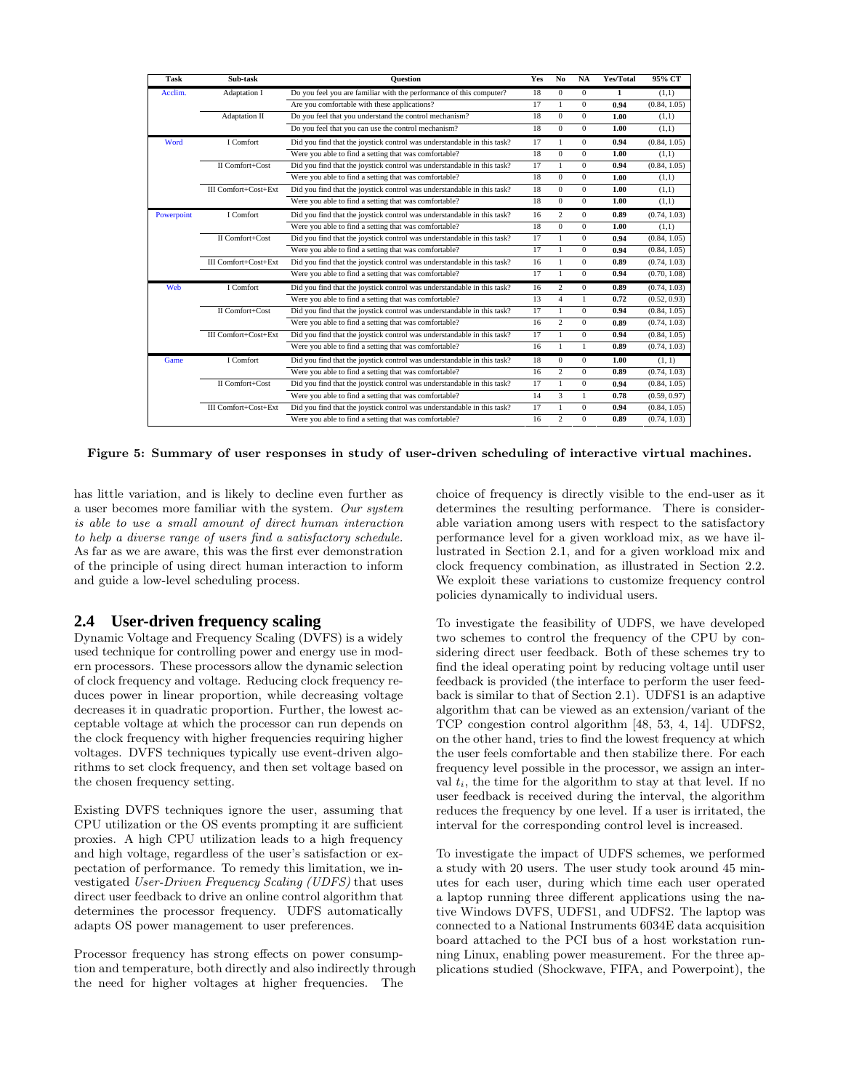| Task       | Sub-task                    | <b>Ouestion</b>                                                         | Yes | N <sub>0</sub> | <b>NA</b>    | Yes/Total    | 95% CT       |
|------------|-----------------------------|-------------------------------------------------------------------------|-----|----------------|--------------|--------------|--------------|
| Acclim.    | Adaptation I                | Do you feel you are familiar with the performance of this computer?     | 18  | $\Omega$       | $\Omega$     | $\mathbf{1}$ | (1,1)        |
|            |                             | Are you comfortable with these applications?                            | 17  | 1              | $\mathbf{0}$ | 0.94         | (0.84, 1.05) |
|            | Adaptation II               | Do you feel that you understand the control mechanism?                  | 18  | $\Omega$       | $\Omega$     | 1.00         | (1,1)        |
|            |                             | Do you feel that you can use the control mechanism?                     | 18  | $\Omega$       | $\mathbf{0}$ | 1.00         | (1,1)        |
| Word       | I Comfort                   | Did you find that the joystick control was understandable in this task? | 17  | 1              | $\Omega$     | 0.94         | (0.84, 1.05) |
|            |                             | Were you able to find a setting that was comfortable?                   | 18  | $\mathbf{0}$   | $\mathbf{0}$ | 1.00         | (1,1)        |
|            | II Comfort+Cost             | Did you find that the joystick control was understandable in this task? | 17  | 1              | $\mathbf{0}$ | 0.94         | (0.84, 1.05) |
|            |                             | Were you able to find a setting that was comfortable?                   | 18  | $\overline{0}$ | $\mathbf{0}$ | 1.00         | (1,1)        |
|            | <b>III Comfort+Cost+Ext</b> | Did you find that the joystick control was understandable in this task? | 18  | $\overline{0}$ | $\mathbf{0}$ | 1.00         | (1,1)        |
|            |                             | Were you able to find a setting that was comfortable?                   | 18  | $\overline{0}$ | $\mathbf{0}$ | 1.00         | (1,1)        |
| Powerpoint | I Comfort                   | Did you find that the joystick control was understandable in this task? | 16  | $\overline{c}$ | $\mathbf{0}$ | 0.89         | (0.74, 1.03) |
|            |                             | Were you able to find a setting that was comfortable?                   | 18  | $\Omega$       | $\Omega$     | 1.00         | (1,1)        |
|            | II Comfort+Cost             | Did you find that the joystick control was understandable in this task? | 17  | 1              | $\mathbf{0}$ | 0.94         | (0.84, 1.05) |
|            |                             | Were you able to find a setting that was comfortable?                   | 17  | $\mathbf{1}$   | $\mathbf{0}$ | 0.94         | (0.84, 1.05) |
|            | III Comfort+Cost+Ext        | Did you find that the joystick control was understandable in this task? | 16  | 1              | $\theta$     | 0.89         | (0.74, 1.03) |
|            |                             | Were you able to find a setting that was comfortable?                   | 17  | $\mathbf{1}$   | $\mathbf{0}$ | 0.94         | (0.70, 1.08) |
| Web        | I Comfort                   | Did you find that the joystick control was understandable in this task? | 16  | $\overline{c}$ | $\mathbf{0}$ | 0.89         | (0.74, 1.03) |
|            |                             | Were you able to find a setting that was comfortable?                   | 13  | $\overline{4}$ | 1            | 0.72         | (0.52, 0.93) |
|            | II Comfort+Cost             | Did you find that the joystick control was understandable in this task? | 17  | $\mathbf{1}$   | $\mathbf{0}$ | 0.94         | (0.84, 1.05) |
|            |                             | Were you able to find a setting that was comfortable?                   | 16  | $\overline{c}$ | $\mathbf{0}$ | 0.89         | (0.74, 1.03) |
|            | <b>III Comfort+Cost+Ext</b> | Did you find that the joystick control was understandable in this task? | 17  | 1              | $\bf{0}$     | 0.94         | (0.84, 1.05) |
|            |                             | Were you able to find a setting that was comfortable?                   | 16  | 1              | 1            | 0.89         | (0.74, 1.03) |
| Game       | I Comfort                   | Did you find that the joystick control was understandable in this task? | 18  | $\Omega$       | $\Omega$     | 1.00         | (1, 1)       |
|            |                             | Were you able to find a setting that was comfortable?                   | 16  | 2              | $\mathbf{0}$ | 0.89         | (0.74, 1.03) |
|            | II Comfort+Cost             | Did you find that the joystick control was understandable in this task? | 17  | $\mathbf{1}$   | $\Omega$     | 0.94         | (0.84, 1.05) |
|            |                             | Were you able to find a setting that was comfortable?                   | 14  | 3              | 1            | 0.78         | (0.59, 0.97) |
|            | <b>III Comfort+Cost+Ext</b> | Did you find that the joystick control was understandable in this task? | 17  | 1              | $\mathbf{0}$ | 0.94         | (0.84, 1.05) |
|            |                             | Were you able to find a setting that was comfortable?                   | 16  | 2              | $\theta$     | 0.89         | (0.74, 1.03) |

Figure 5: Summary of user responses in study of user-driven scheduling of interactive virtual machines.

has little variation, and is likely to decline even further as a user becomes more familiar with the system. *Our system is able to use a small amount of direct human interaction to help a diverse range of users find a satisfactory schedule.* As far as we are aware, this was the first ever demonstration of the principle of using direct human interaction to inform and guide a low-level scheduling process.

# **2.4 User-driven frequency scaling**

Dynamic Voltage and Frequency Scaling (DVFS) is a widely used technique for controlling power and energy use in modern processors. These processors allow the dynamic selection of clock frequency and voltage. Reducing clock frequency reduces power in linear proportion, while decreasing voltage decreases it in quadratic proportion. Further, the lowest acceptable voltage at which the processor can run depends on the clock frequency with higher frequencies requiring higher voltages. DVFS techniques typically use event-driven algorithms to set clock frequency, and then set voltage based on the chosen frequency setting.

Existing DVFS techniques ignore the user, assuming that CPU utilization or the OS events prompting it are sufficient proxies. A high CPU utilization leads to a high frequency and high voltage, regardless of the user's satisfaction or expectation of performance. To remedy this limitation, we investigated *User-Driven Frequency Scaling (UDFS)* that uses direct user feedback to drive an online control algorithm that determines the processor frequency. UDFS automatically adapts OS power management to user preferences.

Processor frequency has strong effects on power consumption and temperature, both directly and also indirectly through the need for higher voltages at higher frequencies. The

choice of frequency is directly visible to the end-user as it determines the resulting performance. There is considerable variation among users with respect to the satisfactory performance level for a given workload mix, as we have illustrated in Section 2.1, and for a given workload mix and clock frequency combination, as illustrated in Section 2.2. We exploit these variations to customize frequency control policies dynamically to individual users.

To investigate the feasibility of UDFS, we have developed two schemes to control the frequency of the CPU by considering direct user feedback. Both of these schemes try to find the ideal operating point by reducing voltage until user feedback is provided (the interface to perform the user feedback is similar to that of Section 2.1). UDFS1 is an adaptive algorithm that can be viewed as an extension/variant of the TCP congestion control algorithm [48, 53, 4, 14]. UDFS2, on the other hand, tries to find the lowest frequency at which the user feels comfortable and then stabilize there. For each frequency level possible in the processor, we assign an interval  $t_i$ , the time for the algorithm to stay at that level. If no user feedback is received during the interval, the algorithm reduces the frequency by one level. If a user is irritated, the interval for the corresponding control level is increased.

To investigate the impact of UDFS schemes, we performed a study with 20 users. The user study took around 45 minutes for each user, during which time each user operated a laptop running three different applications using the native Windows DVFS, UDFS1, and UDFS2. The laptop was connected to a National Instruments 6034E data acquisition board attached to the PCI bus of a host workstation running Linux, enabling power measurement. For the three applications studied (Shockwave, FIFA, and Powerpoint), the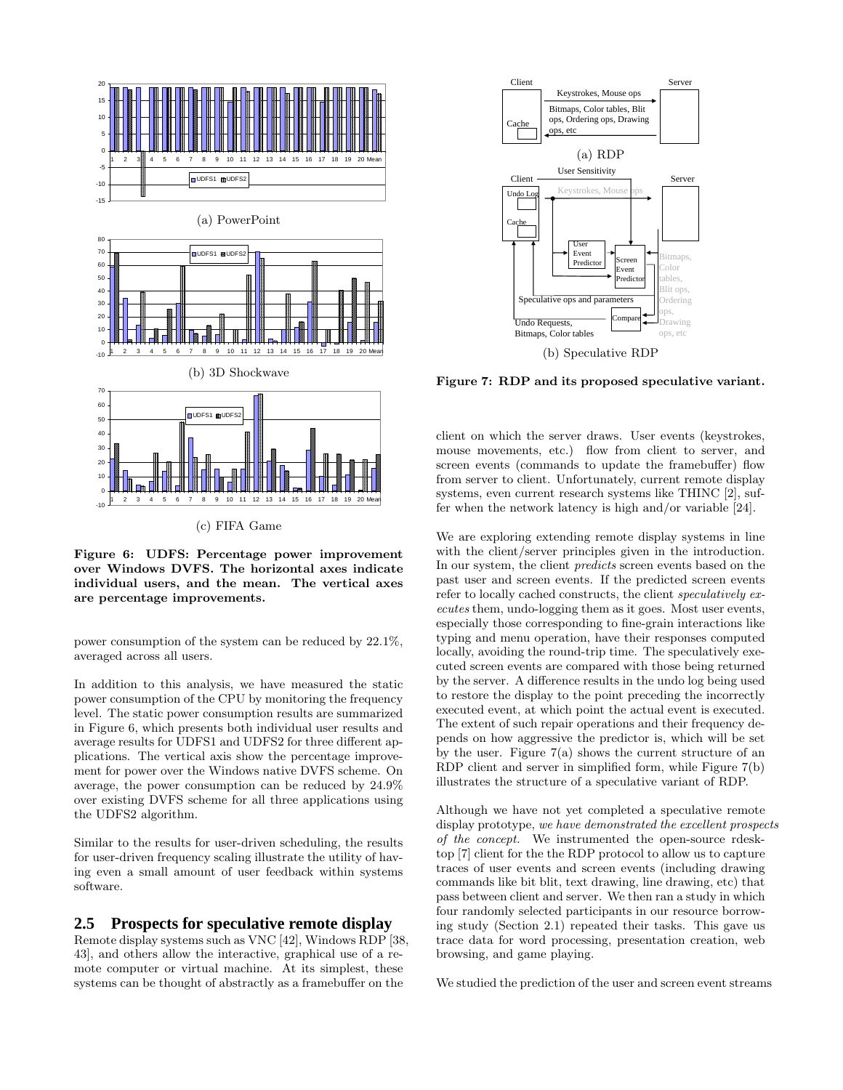

Figure 6: UDFS: Percentage power improvement over Windows DVFS. The horizontal axes indicate individual users, and the mean. The vertical axes are percentage improvements.

power consumption of the system can be reduced by 22.1%, averaged across all users.

In addition to this analysis, we have measured the static power consumption of the CPU by monitoring the frequency level. The static power consumption results are summarized in Figure 6, which presents both individual user results and average results for UDFS1 and UDFS2 for three different applications. The vertical axis show the percentage improvement for power over the Windows native DVFS scheme. On average, the power consumption can be reduced by 24.9% over existing DVFS scheme for all three applications using the UDFS2 algorithm.

Similar to the results for user-driven scheduling, the results for user-driven frequency scaling illustrate the utility of having even a small amount of user feedback within systems software.

#### **2.5 Prospects for speculative remote display**

Remote display systems such as VNC [42], Windows RDP [38, 43], and others allow the interactive, graphical use of a remote computer or virtual machine. At its simplest, these systems can be thought of abstractly as a framebuffer on the



Figure 7: RDP and its proposed speculative variant.

client on which the server draws. User events (keystrokes, mouse movements, etc.) flow from client to server, and screen events (commands to update the framebuffer) flow from server to client. Unfortunately, current remote display systems, even current research systems like THINC [2], suffer when the network latency is high and/or variable [24].

We are exploring extending remote display systems in line with the client/server principles given in the introduction. In our system, the client *predicts* screen events based on the past user and screen events. If the predicted screen events refer to locally cached constructs, the client *speculatively executes* them, undo-logging them as it goes. Most user events, especially those corresponding to fine-grain interactions like typing and menu operation, have their responses computed locally, avoiding the round-trip time. The speculatively executed screen events are compared with those being returned by the server. A difference results in the undo log being used to restore the display to the point preceding the incorrectly executed event, at which point the actual event is executed. The extent of such repair operations and their frequency depends on how aggressive the predictor is, which will be set by the user. Figure 7(a) shows the current structure of an RDP client and server in simplified form, while Figure 7(b) illustrates the structure of a speculative variant of RDP.

Although we have not yet completed a speculative remote display prototype, *we have demonstrated the excellent prospects of the concept.* We instrumented the open-source rdesktop [7] client for the the RDP protocol to allow us to capture traces of user events and screen events (including drawing commands like bit blit, text drawing, line drawing, etc) that pass between client and server. We then ran a study in which four randomly selected participants in our resource borrowing study (Section 2.1) repeated their tasks. This gave us trace data for word processing, presentation creation, web browsing, and game playing.

We studied the prediction of the user and screen event streams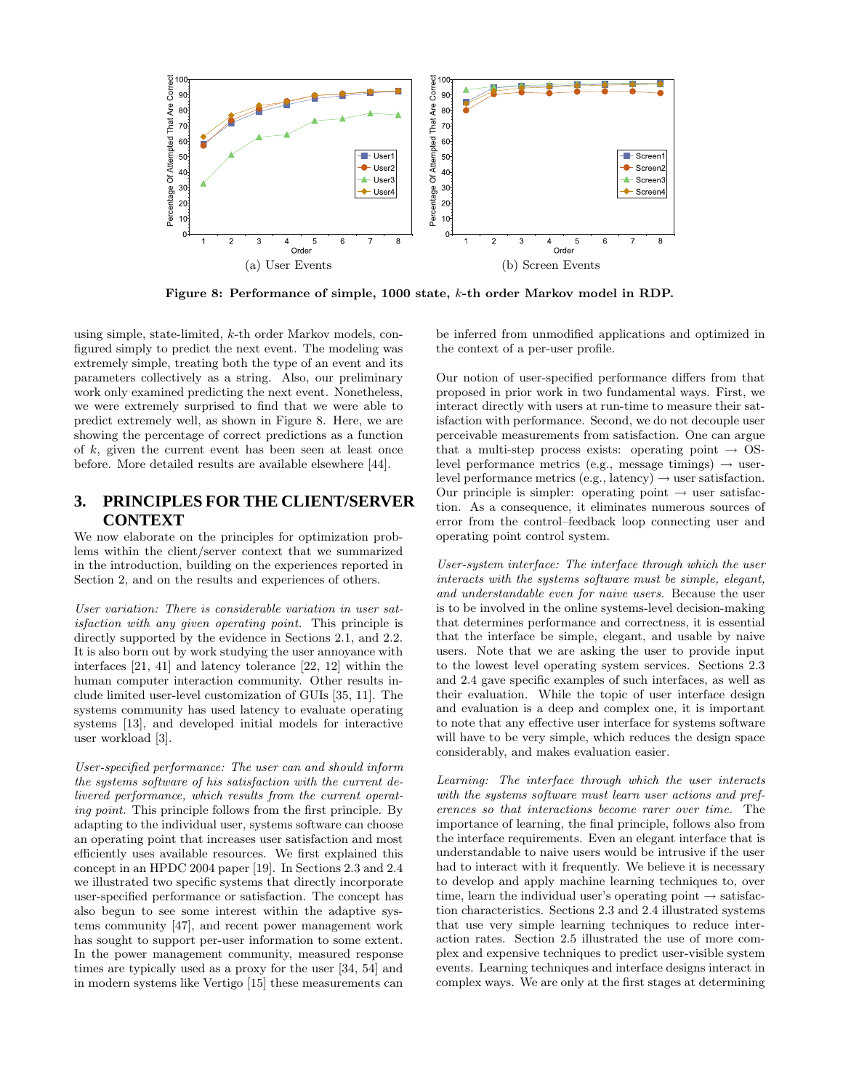

Figure 8: Performance of simple, 1000 state, k-th order Markov model in RDP.

using simple, state-limited, k-th order Markov models, configured simply to predict the next event. The modeling was extremely simple, treating both the type of an event and its parameters collectively as a string. Also, our preliminary work only examined predicting the next event. Nonetheless, we were extremely surprised to find that we were able to predict extremely well, as shown in Figure 8. Here, we are showing the percentage of correct predictions as a function of k, given the current event has been seen at least once before. More detailed results are available elsewhere [44].

## **3. PRINCIPLES FOR THE CLIENT/SERVER CONTEXT**

We now elaborate on the principles for optimization problems within the client/server context that we summarized in the introduction, building on the experiences reported in Section 2, and on the results and experiences of others.

*User variation: There is considerable variation in user satisfaction with any given operating point.* This principle is directly supported by the evidence in Sections 2.1, and 2.2. It is also born out by work studying the user annoyance with interfaces [21, 41] and latency tolerance [22, 12] within the human computer interaction community. Other results include limited user-level customization of GUIs [35, 11]. The systems community has used latency to evaluate operating systems [13], and developed initial models for interactive user workload [3].

*User-specified performance: The user can and should inform the systems software of his satisfaction with the current delivered performance, which results from the current operating point.* This principle follows from the first principle. By adapting to the individual user, systems software can choose an operating point that increases user satisfaction and most efficiently uses available resources. We first explained this concept in an HPDC 2004 paper [19]. In Sections 2.3 and 2.4 we illustrated two specific systems that directly incorporate user-specified performance or satisfaction. The concept has also begun to see some interest within the adaptive systems community [47], and recent power management work has sought to support per-user information to some extent. In the power management community, measured response times are typically used as a proxy for the user [34, 54] and in modern systems like Vertigo [15] these measurements can

be inferred from unmodified applications and optimized in the context of a per-user profile.

Our notion of user-specified performance differs from that proposed in prior work in two fundamental ways. First, we interact directly with users at run-time to measure their satisfaction with performance. Second, we do not decouple user perceivable measurements from satisfaction. One can argue that a multi-step process exists: operating point  $\rightarrow$  OSlevel performance metrics (e.g., message timings)  $\rightarrow$  userlevel performance metrics (e.g., latency)  $\rightarrow$  user satisfaction. Our principle is simpler: operating point  $\rightarrow$  user satisfaction. As a consequence, it eliminates numerous sources of error from the control–feedback loop connecting user and operating point control system.

*User-system interface: The interface through which the user interacts with the systems software must be simple, elegant, and understandable even for naive users.* Because the user is to be involved in the online systems-level decision-making that determines performance and correctness, it is essential that the interface be simple, elegant, and usable by naive users. Note that we are asking the user to provide input to the lowest level operating system services. Sections 2.3 and 2.4 gave specific examples of such interfaces, as well as their evaluation. While the topic of user interface design and evaluation is a deep and complex one, it is important to note that any effective user interface for systems software will have to be very simple, which reduces the design space considerably, and makes evaluation easier.

*Learning: The interface through which the user interacts with the systems software must learn user actions and preferences so that interactions become rarer over time.* The importance of learning, the final principle, follows also from the interface requirements. Even an elegant interface that is understandable to naive users would be intrusive if the user had to interact with it frequently. We believe it is necessary to develop and apply machine learning techniques to, over time, learn the individual user's operating point  $\rightarrow$  satisfaction characteristics. Sections 2.3 and 2.4 illustrated systems that use very simple learning techniques to reduce interaction rates. Section 2.5 illustrated the use of more complex and expensive techniques to predict user-visible system events. Learning techniques and interface designs interact in complex ways. We are only at the first stages at determining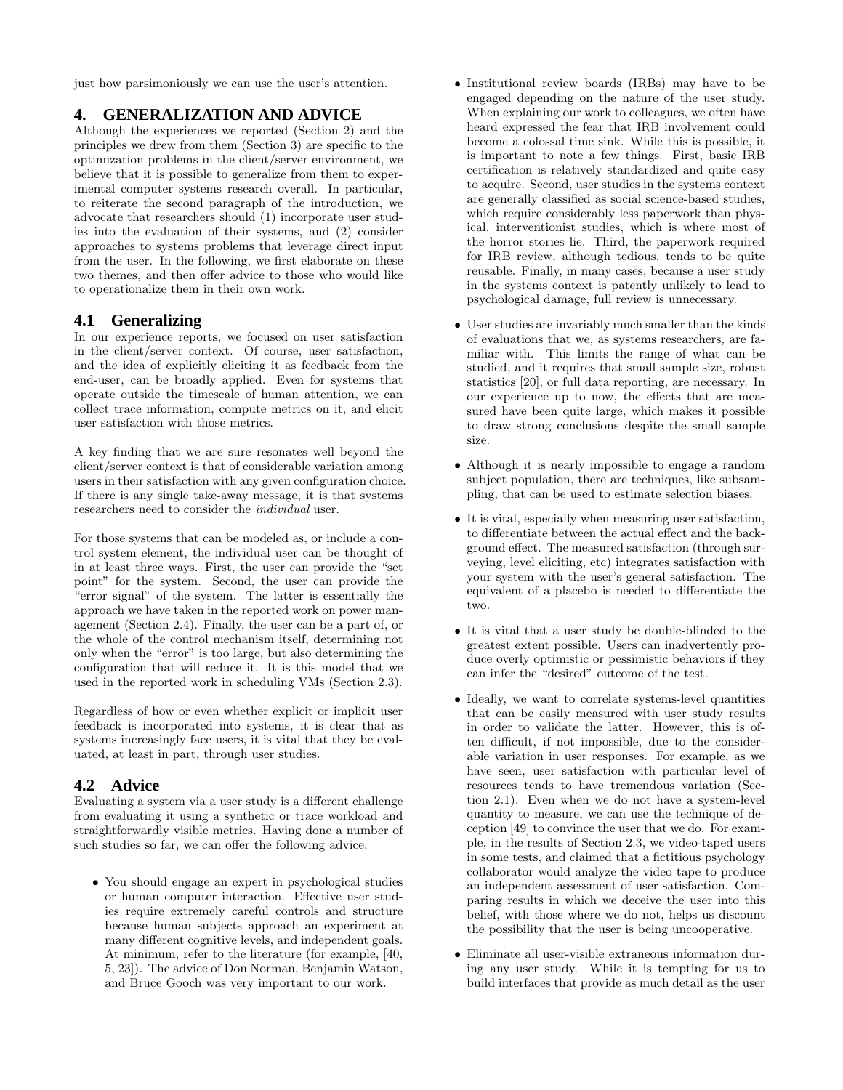just how parsimoniously we can use the user's attention.

## **4. GENERALIZATION AND ADVICE**

Although the experiences we reported (Section 2) and the principles we drew from them (Section 3) are specific to the optimization problems in the client/server environment, we believe that it is possible to generalize from them to experimental computer systems research overall. In particular, to reiterate the second paragraph of the introduction, we advocate that researchers should (1) incorporate user studies into the evaluation of their systems, and (2) consider approaches to systems problems that leverage direct input from the user. In the following, we first elaborate on these two themes, and then offer advice to those who would like to operationalize them in their own work.

## **4.1 Generalizing**

In our experience reports, we focused on user satisfaction in the client/server context. Of course, user satisfaction, and the idea of explicitly eliciting it as feedback from the end-user, can be broadly applied. Even for systems that operate outside the timescale of human attention, we can collect trace information, compute metrics on it, and elicit user satisfaction with those metrics.

A key finding that we are sure resonates well beyond the client/server context is that of considerable variation among users in their satisfaction with any given configuration choice. If there is any single take-away message, it is that systems researchers need to consider the *individual* user.

For those systems that can be modeled as, or include a control system element, the individual user can be thought of in at least three ways. First, the user can provide the "set point" for the system. Second, the user can provide the "error signal" of the system. The latter is essentially the approach we have taken in the reported work on power management (Section 2.4). Finally, the user can be a part of, or the whole of the control mechanism itself, determining not only when the "error" is too large, but also determining the configuration that will reduce it. It is this model that we used in the reported work in scheduling VMs (Section 2.3).

Regardless of how or even whether explicit or implicit user feedback is incorporated into systems, it is clear that as systems increasingly face users, it is vital that they be evaluated, at least in part, through user studies.

# **4.2 Advice**

Evaluating a system via a user study is a different challenge from evaluating it using a synthetic or trace workload and straightforwardly visible metrics. Having done a number of such studies so far, we can offer the following advice:

• You should engage an expert in psychological studies or human computer interaction. Effective user studies require extremely careful controls and structure because human subjects approach an experiment at many different cognitive levels, and independent goals. At minimum, refer to the literature (for example, [40, 5, 23]). The advice of Don Norman, Benjamin Watson, and Bruce Gooch was very important to our work.

- Institutional review boards (IRBs) may have to be engaged depending on the nature of the user study. When explaining our work to colleagues, we often have heard expressed the fear that IRB involvement could become a colossal time sink. While this is possible, it is important to note a few things. First, basic IRB certification is relatively standardized and quite easy to acquire. Second, user studies in the systems context are generally classified as social science-based studies, which require considerably less paperwork than physical, interventionist studies, which is where most of the horror stories lie. Third, the paperwork required for IRB review, although tedious, tends to be quite reusable. Finally, in many cases, because a user study in the systems context is patently unlikely to lead to psychological damage, full review is unnecessary.
- User studies are invariably much smaller than the kinds of evaluations that we, as systems researchers, are familiar with. This limits the range of what can be studied, and it requires that small sample size, robust statistics [20], or full data reporting, are necessary. In our experience up to now, the effects that are measured have been quite large, which makes it possible to draw strong conclusions despite the small sample size.
- Although it is nearly impossible to engage a random subject population, there are techniques, like subsampling, that can be used to estimate selection biases.
- It is vital, especially when measuring user satisfaction, to differentiate between the actual effect and the background effect. The measured satisfaction (through surveying, level eliciting, etc) integrates satisfaction with your system with the user's general satisfaction. The equivalent of a placebo is needed to differentiate the two.
- It is vital that a user study be double-blinded to the greatest extent possible. Users can inadvertently produce overly optimistic or pessimistic behaviors if they can infer the "desired" outcome of the test.
- Ideally, we want to correlate systems-level quantities that can be easily measured with user study results in order to validate the latter. However, this is often difficult, if not impossible, due to the considerable variation in user responses. For example, as we have seen, user satisfaction with particular level of resources tends to have tremendous variation (Section 2.1). Even when we do not have a system-level quantity to measure, we can use the technique of deception [49] to convince the user that we do. For example, in the results of Section 2.3, we video-taped users in some tests, and claimed that a fictitious psychology collaborator would analyze the video tape to produce an independent assessment of user satisfaction. Comparing results in which we deceive the user into this belief, with those where we do not, helps us discount the possibility that the user is being uncooperative.
- Eliminate all user-visible extraneous information during any user study. While it is tempting for us to build interfaces that provide as much detail as the user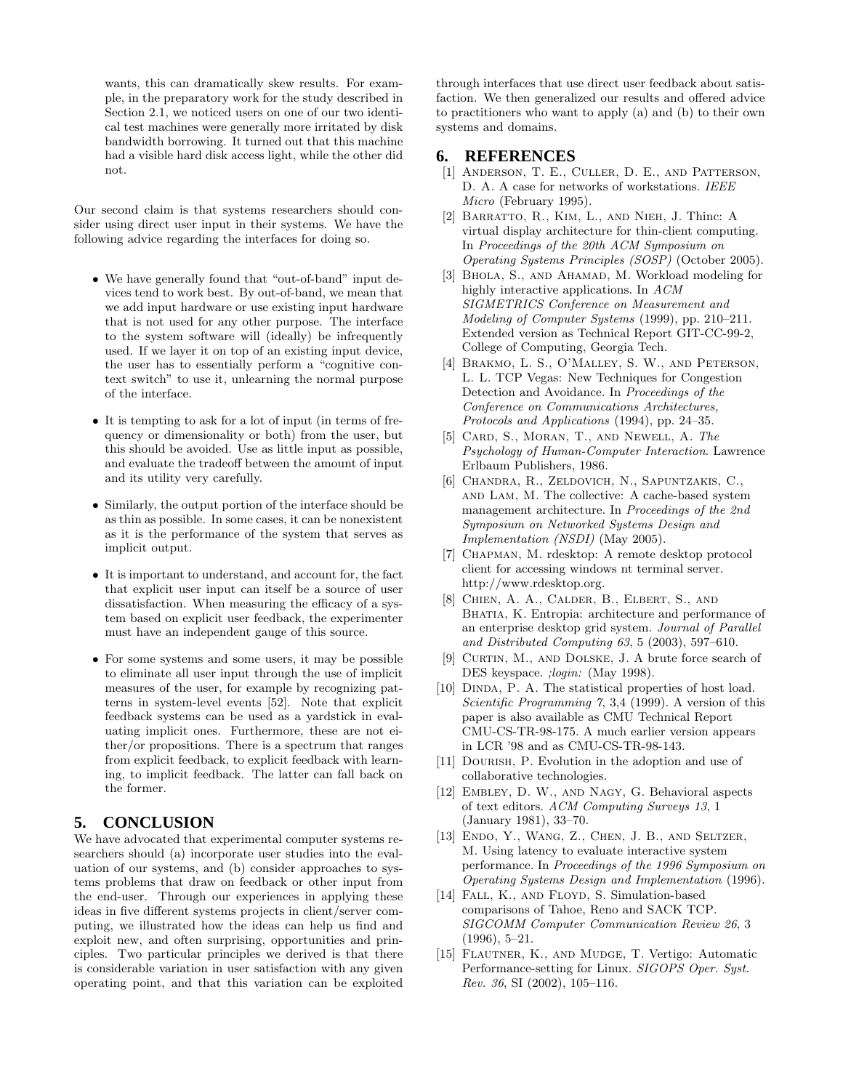wants, this can dramatically skew results. For example, in the preparatory work for the study described in Section 2.1, we noticed users on one of our two identical test machines were generally more irritated by disk bandwidth borrowing. It turned out that this machine had a visible hard disk access light, while the other did not.

Our second claim is that systems researchers should consider using direct user input in their systems. We have the following advice regarding the interfaces for doing so.

- We have generally found that "out-of-band" input devices tend to work best. By out-of-band, we mean that we add input hardware or use existing input hardware that is not used for any other purpose. The interface to the system software will (ideally) be infrequently used. If we layer it on top of an existing input device, the user has to essentially perform a "cognitive context switch" to use it, unlearning the normal purpose of the interface.
- It is tempting to ask for a lot of input (in terms of frequency or dimensionality or both) from the user, but this should be avoided. Use as little input as possible, and evaluate the tradeoff between the amount of input and its utility very carefully.
- Similarly, the output portion of the interface should be as thin as possible. In some cases, it can be nonexistent as it is the performance of the system that serves as implicit output.
- It is important to understand, and account for, the fact that explicit user input can itself be a source of user dissatisfaction. When measuring the efficacy of a system based on explicit user feedback, the experimenter must have an independent gauge of this source.
- For some systems and some users, it may be possible to eliminate all user input through the use of implicit measures of the user, for example by recognizing patterns in system-level events [52]. Note that explicit feedback systems can be used as a yardstick in evaluating implicit ones. Furthermore, these are not either/or propositions. There is a spectrum that ranges from explicit feedback, to explicit feedback with learning, to implicit feedback. The latter can fall back on the former.

## **5. CONCLUSION**

We have advocated that experimental computer systems researchers should (a) incorporate user studies into the evaluation of our systems, and (b) consider approaches to systems problems that draw on feedback or other input from the end-user. Through our experiences in applying these ideas in five different systems projects in client/server computing, we illustrated how the ideas can help us find and exploit new, and often surprising, opportunities and principles. Two particular principles we derived is that there is considerable variation in user satisfaction with any given operating point, and that this variation can be exploited

through interfaces that use direct user feedback about satisfaction. We then generalized our results and offered advice to practitioners who want to apply (a) and (b) to their own systems and domains.

#### **6. REFERENCES**

- [1] Anderson, T. E., Culler, D. E., and Patterson, D. A. A case for networks of workstations. *IEEE Micro* (February 1995).
- [2] Barratto, R., Kim, L., and Nieh, J. Thinc: A virtual display architecture for thin-client computing. In *Proceedings of the 20th ACM Symposium on Operating Systems Principles (SOSP)* (October 2005).
- [3] BHOLA, S., AND AHAMAD, M. Workload modeling for highly interactive applications. In *ACM SIGMETRICS Conference on Measurement and Modeling of Computer Systems* (1999), pp. 210–211. Extended version as Technical Report GIT-CC-99-2, College of Computing, Georgia Tech.
- [4] BRAKMO, L. S., O'MALLEY, S. W., AND PETERSON, L. L. TCP Vegas: New Techniques for Congestion Detection and Avoidance. In *Proceedings of the Conference on Communications Architectures, Protocols and Applications* (1994), pp. 24–35.
- [5] Card, S., Moran, T., and Newell, A. *The Psychology of Human-Computer Interaction*. Lawrence Erlbaum Publishers, 1986.
- [6] Chandra, R., Zeldovich, N., Sapuntzakis, C., and Lam, M. The collective: A cache-based system management architecture. In *Proceedings of the 2nd Symposium on Networked Systems Design and Implementation (NSDI)* (May 2005).
- [7] Chapman, M. rdesktop: A remote desktop protocol client for accessing windows nt terminal server. http://www.rdesktop.org.
- [8] Chien, A. A., Calder, B., Elbert, S., and BHATIA, K. Entropia: architecture and performance of an enterprise desktop grid system. *Journal of Parallel and Distributed Computing 63*, 5 (2003), 597–610.
- [9] CURTIN, M., AND DOLSKE, J. A brute force search of DES keyspace. *;login:* (May 1998).
- [10] DINDA, P. A. The statistical properties of host load. *Scientific Programming 7*, 3,4 (1999). A version of this paper is also available as CMU Technical Report CMU-CS-TR-98-175. A much earlier version appears in LCR '98 and as CMU-CS-TR-98-143.
- [11] Dourish, P. Evolution in the adoption and use of collaborative technologies.
- [12] Embley, D. W., and Nagy, G. Behavioral aspects of text editors. *ACM Computing Surveys 13*, 1 (January 1981), 33–70.
- [13] ENDO, Y., WANG, Z., CHEN, J. B., AND SELTZER, M. Using latency to evaluate interactive system performance. In *Proceedings of the 1996 Symposium on Operating Systems Design and Implementation* (1996).
- [14] FALL, K., AND FLOYD, S. Simulation-based comparisons of Tahoe, Reno and SACK TCP. *SIGCOMM Computer Communication Review 26*, 3 (1996), 5–21.
- [15] Flautner, K., and Mudge, T. Vertigo: Automatic Performance-setting for Linux. *SIGOPS Oper. Syst. Rev. 36*, SI (2002), 105–116.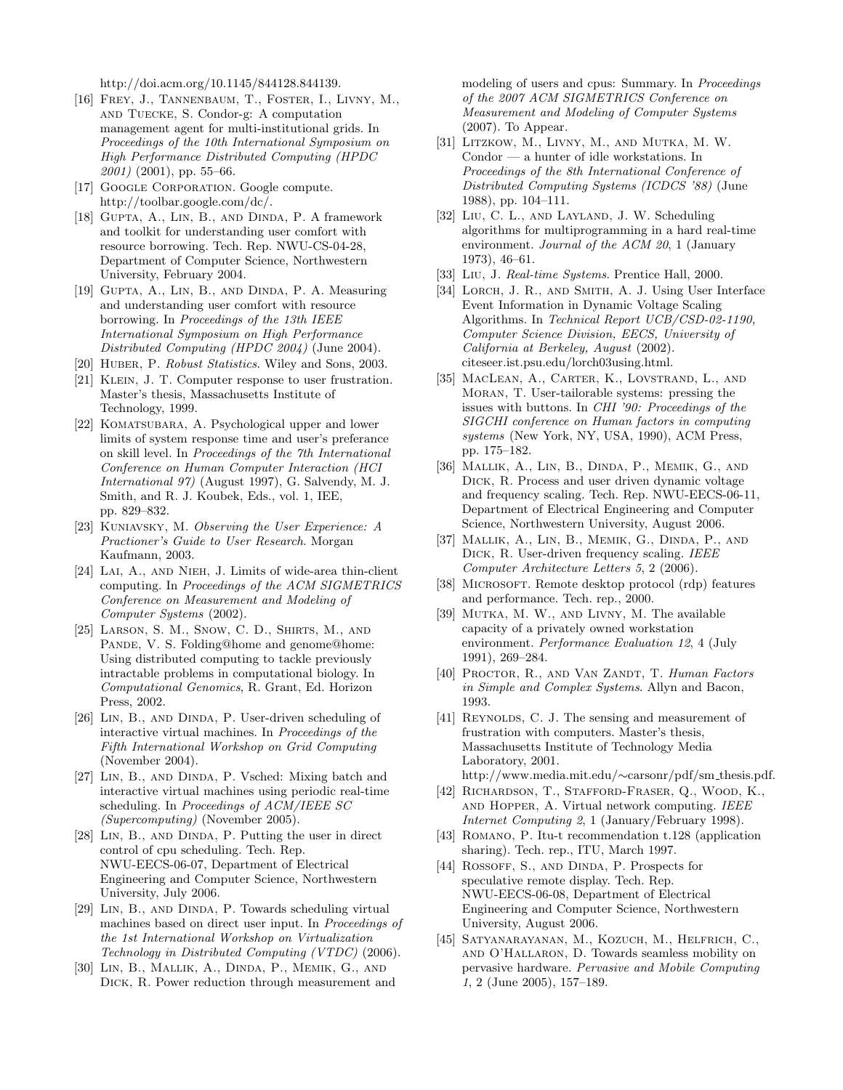http://doi.acm.org/10.1145/844128.844139.

- [16] FREY, J., TANNENBAUM, T., FOSTER, I., LIVNY, M., and Tuecke, S. Condor-g: A computation management agent for multi-institutional grids. In *Proceedings of the 10th International Symposium on High Performance Distributed Computing (HPDC 2001)* (2001), pp. 55–66.
- [17] GOOGLE CORPORATION. Google compute. http://toolbar.google.com/dc/.
- [18] Gupta, A., Lin, B., and Dinda, P. A framework and toolkit for understanding user comfort with resource borrowing. Tech. Rep. NWU-CS-04-28, Department of Computer Science, Northwestern University, February 2004.
- [19] Gupta, A., Lin, B., and Dinda, P. A. Measuring and understanding user comfort with resource borrowing. In *Proceedings of the 13th IEEE International Symposium on High Performance Distributed Computing (HPDC 2004)* (June 2004).
- [20] Huber, P. *Robust Statistics*. Wiley and Sons, 2003.
- [21] KLEIN, J. T. Computer response to user frustration. Master's thesis, Massachusetts Institute of Technology, 1999.
- [22] KOMATSUBARA, A. Psychological upper and lower limits of system response time and user's preferance on skill level. In *Proceedings of the 7th International Conference on Human Computer Interaction (HCI International 97)* (August 1997), G. Salvendy, M. J. Smith, and R. J. Koubek, Eds., vol. 1, IEE, pp. 829–832.
- [23] Kuniavsky, M. *Observing the User Experience: A Practioner's Guide to User Research*. Morgan Kaufmann, 2003.
- [24] LAI, A., AND NIEH, J. Limits of wide-area thin-client computing. In *Proceedings of the ACM SIGMETRICS Conference on Measurement and Modeling of Computer Systems* (2002).
- [25] Larson, S. M., Snow, C. D., Shirts, M., and PANDE, V. S. Folding@home and genome@home: Using distributed computing to tackle previously intractable problems in computational biology. In *Computational Genomics*, R. Grant, Ed. Horizon Press, 2002.
- [26] LIN, B., AND DINDA, P. User-driven scheduling of interactive virtual machines. In *Proceedings of the Fifth International Workshop on Grid Computing* (November 2004).
- [27] LIN, B., AND DINDA, P. Vsched: Mixing batch and interactive virtual machines using periodic real-time scheduling. In *Proceedings of ACM/IEEE SC (Supercomputing)* (November 2005).
- [28] LIN, B., AND DINDA, P. Putting the user in direct control of cpu scheduling. Tech. Rep. NWU-EECS-06-07, Department of Electrical Engineering and Computer Science, Northwestern University, July 2006.
- [29] LIN, B., AND DINDA, P. Towards scheduling virtual machines based on direct user input. In *Proceedings of the 1st International Workshop on Virtualization Technology in Distributed Computing (VTDC)* (2006).
- [30] Lin, B., Mallik, A., Dinda, P., Memik, G., and Dick, R. Power reduction through measurement and

modeling of users and cpus: Summary. In *Proceedings of the 2007 ACM SIGMETRICS Conference on Measurement and Modeling of Computer Systems* (2007). To Appear.

- [31] Litzkow, M., Livny, M., and Mutka, M. W. Condor — a hunter of idle workstations. In *Proceedings of the 8th International Conference of Distributed Computing Systems (ICDCS '88)* (June 1988), pp. 104–111.
- [32] Liu, C. L., and Layland, J. W. Scheduling algorithms for multiprogramming in a hard real-time environment. *Journal of the ACM 20*, 1 (January 1973), 46–61.
- [33] Liu, J. *Real-time Systems*. Prentice Hall, 2000.
- [34] LORCH, J. R., AND SMITH, A. J. Using User Interface Event Information in Dynamic Voltage Scaling Algorithms. In *Technical Report UCB/CSD-02-1190, Computer Science Division, EECS, University of California at Berkeley, August* (2002). citeseer.ist.psu.edu/lorch03using.html.
- [35] MacLean, A., Carter, K., Lovstrand, L., and Moran, T. User-tailorable systems: pressing the issues with buttons. In *CHI '90: Proceedings of the SIGCHI conference on Human factors in computing systems* (New York, NY, USA, 1990), ACM Press, pp. 175–182.
- [36] Mallik, A., Lin, B., Dinda, P., Memik, G., and Dick, R. Process and user driven dynamic voltage and frequency scaling. Tech. Rep. NWU-EECS-06-11, Department of Electrical Engineering and Computer Science, Northwestern University, August 2006.
- [37] Mallik, A., Lin, B., Memik, G., Dinda, P., and Dick, R. User-driven frequency scaling. *IEEE Computer Architecture Letters 5*, 2 (2006).
- [38] MICROSOFT. Remote desktop protocol (rdp) features and performance. Tech. rep., 2000.
- [39] MUTKA, M. W., AND LIVNY, M. The available capacity of a privately owned workstation environment. *Performance Evaluation 12*, 4 (July 1991), 269–284.
- [40] PROCTOR, R., AND VAN ZANDT, T. *Human Factors in Simple and Complex Systems*. Allyn and Bacon, 1993.
- [41] REYNOLDS, C. J. The sensing and measurement of frustration with computers. Master's thesis, Massachusetts Institute of Technology Media Laboratory, 2001.
- http://www.media.mit.edu/∼carsonr/pdf/sm thesis.pdf. [42] RICHARDSON, T., STAFFORD-FRASER, Q., WOOD, K., and Hopper, A. Virtual network computing. *IEEE*
- *Internet Computing 2*, 1 (January/February 1998). [43] ROMANO, P. Itu-t recommendation t.128 (application
- sharing). Tech. rep., ITU, March 1997.
- [44] ROSSOFF, S., AND DINDA, P. Prospects for speculative remote display. Tech. Rep. NWU-EECS-06-08, Department of Electrical Engineering and Computer Science, Northwestern University, August 2006.
- [45] Satyanarayanan, M., Kozuch, M., Helfrich, C., and O'Hallaron, D. Towards seamless mobility on pervasive hardware. *Pervasive and Mobile Computing 1*, 2 (June 2005), 157–189.